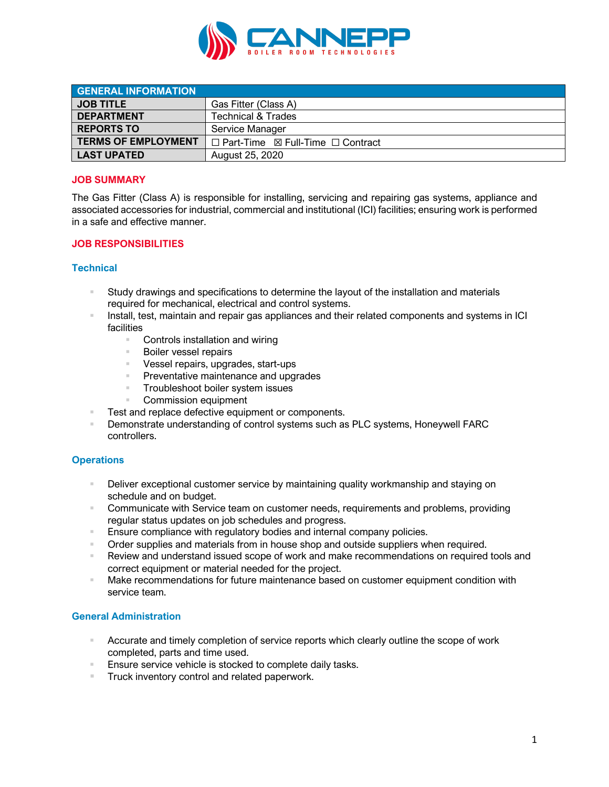

| <b>GENERAL INFORMATION</b> |                                                        |
|----------------------------|--------------------------------------------------------|
| <b>JOB TITLE</b>           | Gas Fitter (Class A)                                   |
| <b>DEPARTMENT</b>          | <b>Technical &amp; Trades</b>                          |
| <b>REPORTS TO</b>          | Service Manager                                        |
| <b>TERMS OF EMPLOYMENT</b> | $\Box$ Part-Time $\boxtimes$ Full-Time $\Box$ Contract |
| <b>LAST UPATED</b>         | August 25, 2020                                        |

# **JOB SUMMARY**

The Gas Fitter (Class A) is responsible for installing, servicing and repairing gas systems, appliance and associated accessories for industrial, commercial and institutional (ICI) facilities; ensuring work is performed in a safe and effective manner.

# **JOB RESPONSIBILITIES**

# **Technical**

- § Study drawings and specifications to determine the layout of the installation and materials required for mechanical, electrical and control systems.
- Install, test, maintain and repair gas appliances and their related components and systems in ICI facilities
	- Controls installation and wiring
	- Boiler vessel repairs
	- Vessel repairs, upgrades, start-ups
	- Preventative maintenance and upgrades
	- Troubleshoot boiler system issues
	- § Commission equipment
- Test and replace defective equipment or components.
- § Demonstrate understanding of control systems such as PLC systems, Honeywell FARC controllers.

# **Operations**

- <sup>■</sup> Deliver exceptional customer service by maintaining quality workmanship and staying on schedule and on budget.
- Communicate with Service team on customer needs, requirements and problems, providing regular status updates on job schedules and progress.
- Ensure compliance with regulatory bodies and internal company policies.
- **Order supplies and materials from in house shop and outside suppliers when required.**
- § Review and understand issued scope of work and make recommendations on required tools and correct equipment or material needed for the project.
- § Make recommendations for future maintenance based on customer equipment condition with service team.

#### **General Administration**

- **EXECUTE:** Accurate and timely completion of service reports which clearly outline the scope of work completed, parts and time used.
- Ensure service vehicle is stocked to complete daily tasks.
- Truck inventory control and related paperwork.